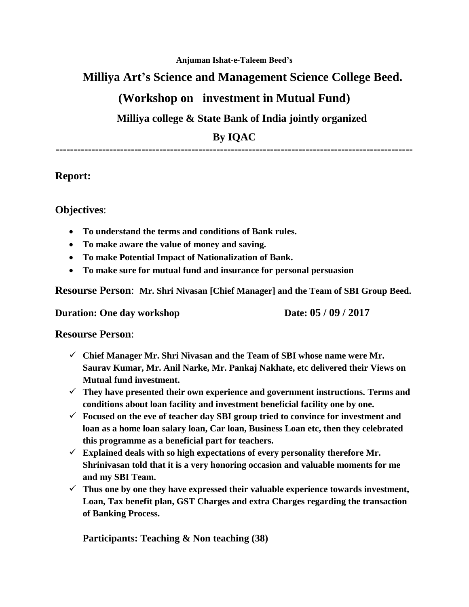#### **Anjuman Ishat-e-Taleem Beed's**

### **Milliya Art's Science and Management Science College Beed.**

## **(Workshop on investment in Mutual Fund)**

### **Milliya college & State Bank of India jointly organized**

**By IQAC**

**----------------------------------------------------------------------------------------------------**

#### **Report:**

**Objectives**:

- **To understand the terms and conditions of Bank rules.**
- **To make aware the value of money and saving.**
- **To make Potential Impact of Nationalization of Bank.**
- **To make sure for mutual fund and insurance for personal persuasion**

**Resourse Person**: **Mr. Shri Nivasan [Chief Manager] and the Team of SBI Group Beed.**

**Duration: One day workshop Date: 05 / 09 / 2017** 

**Resourse Person**:

- **Chief Manager Mr. Shri Nivasan and the Team of SBI whose name were Mr. Saurav Kumar, Mr. Anil Narke, Mr. Pankaj Nakhate, etc delivered their Views on Mutual fund investment.**
- **They have presented their own experience and government instructions. Terms and conditions about loan facility and investment beneficial facility one by one.**
- **Focused on the eve of teacher day SBI group tried to convince for investment and loan as a home loan salary loan, Car loan, Business Loan etc, then they celebrated this programme as a beneficial part for teachers.**
- **Explained deals with so high expectations of every personality therefore Mr. Shrinivasan told that it is a very honoring occasion and valuable moments for me and my SBI Team.**
- $\checkmark$  Thus one by one they have expressed their valuable experience towards investment, **Loan, Tax benefit plan, GST Charges and extra Charges regarding the transaction of Banking Process.**

**Participants: Teaching & Non teaching (38)**